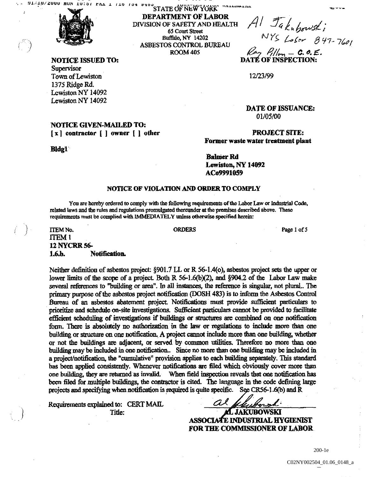

Bidgi

Supervisor Town of Lewiston 12/23/99 <sup>1375</sup> Ridge Rd Lewiston NY 14092 Lewiston NY 14092

NOTICE GIVEN-MAILED TO

# DEPARTMENT OF LABOR <sup>24</sup> <sup>34</sup> STATE OF NEW YORK<br>DEPARTMENT OF LABOR<br>DIVISION OF SAFETY AND HEALTH  $\begin{array}{c} \mathcal{A} \setminus \mathcal{I}_{\mathcal{G}} \\ \mathcal{A} \end{array}$ **65 Court Street** ASBESTOS CONTROL BUREAU ROOM 405

**RTMENT OF LABOR**<br>
OF SAFETY AND HEALTH  $\begin{array}{c} A \mid \mathcal{I}_a \mid_{a} \text{ for } a \leq x \leq x \\ 65 \text{ Court Street} \\ \text{Buffalo, NY 14202} \end{array}$ <br>
FOS CONTROL BUREAU<br>
ROOM 405  $\begin{array}{c} N \mid \text{for } a \leq x \leq x \leq y \leq x \\ \text{for } a \leq x \leq y \leq x \end{array}$ 

NOTICE ISSUED TO: The CONDUCT OF INSPECTION OF INSPECTION OF INSPECTION OF INSPECTION OF INSPECTION OF INSPECTIO

DATE OF ISSUANCE 01/05/00

#### $[x]$  contractor  $[ ]$  owner  $[ ]$  other PROJECT SITE: Former waste water treatment plant

Baiwer Rd Lewiston, NY 14092 ACo9991O59

#### NOTICE OF VIOLATION AND ORDER TO COMPLY

You are hcreby ordered to comply with the following requirements of the Labor Law or Industrial Code, related laws and the rules and regulations promulgated thereunder at the premises described above. These requirements must be complied with IMMEDIATELY unless otherwise specified herein:

### ITEM No. **IN PAGE 1988** CROSS CORDERS **Page 1 of**  $\blacksquare$ ITEMI <sup>12</sup> NYCRR 56- 1.6.b. Notification.

Neither definition of asbestos project:  $\S 901.7$  LL or R 56-1.4(o), asbestos project sets the upper or lower limits of the scope of a project. Both R  $56-1.6(b)(2)$ , and §904.2 of the Labor Law make several references to "building or area". In all instances, the reference is singular, not plural.. The primary purpose of the asbestos project notification (DOSH 483) is to inform the Asbestos Control Bureau of an asbestos abatement project Notificalions must provide sufficient particulars to prioritize and schedule on-site investigations. Sufficient particulars cannot be provided to facilitate efficient scheduling of investigations if buildings or structures are combined on one notification form. There is absolutely no authorization in the law or regulations to include more than one building or structure on one notification. A project cannot include more than one building, whether or not the buildings are adjacent, or served by common utilities. Therefore no more than one building may be included in one notification. Since no more than one building may be included in a project/notification, the "cumulative" provision applies to each building separately. This standard has been applied consistently. Whenever notifications are filed which obviously cover more than one building, they are returned as invalid. When field inspection reveals that one notification has been filed for multiple buildings, the contractor is cited. The language in the code defining large projects and specifying when notification is required is quite specific. See CR56-1.6(b) and  $R$ 

Requirements explained to: CERT MAIL  $\overline{AC}$   $\overline{AC}$   $\overline{AC}$   $\overline{AC}$  JAKUBOWSKI

ASSOCIAtE INDUSTRIAL HYGIENIST FOR THE COMMISSIONER OF LABOR

200-1e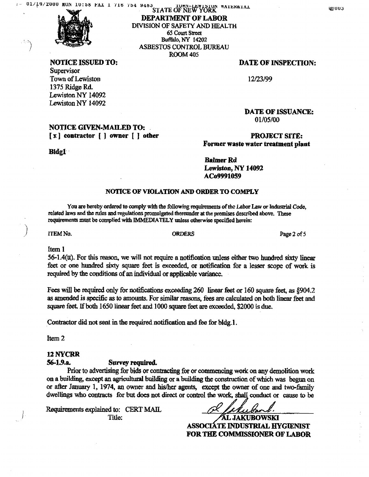47

NOTICE ISSUED TO: **DATE OF INSPECTION: Supervisor** Town of Lewiston 12/23/99 <sup>1375</sup> Ridge Rd Lewiston NY 14092 Lewiston NY 14092

#### NOTICE GWEN-MAILED TO [x] contractor [] owner [] other **PROJECT SITE**:

Bidgi

#### DEPARTMENT OF LABOR DIVISION OF SAFETY AND HEALTH 65 Court Street Buffalo, NY 14202 ASBESTOS CONTROL BUREAU ROOM 405

DATE OF ISSUANCE 01/05/00

Former waste water treatment plant

**Balmer Rd** Lewiston, NY 14092 ACo9991059

#### NOTICE OF VIOLATION AND ORDER TO COMPLY

You are hereby ordered to comply with the following requirements of the Labor Law or Industrial Code<br>related laws and the rules and regulations promulgated thereunder at the premises described above. These requirements must be complied with IMMEDIATELY unless otherwise specified herein:

ITEM No. 2 of

#### Item

 $56-1.4(t)$ . For this reason, we will not require a notification unless either two hundred sixty linear feet or one hundred sixty square feet is exceeded, or notification for a lesser scope of work is required by the conditions of an individual or applicable variance

Fees will be required only for notifications exceeding 260 linear feet or 160 square feet, as §904.2 as amended is specific as to amounts. For similar reasons, fees are calculated on both linear feet and square feet. If both 1650 linear feet and 1000 square feet are exceeded, \$2000 is due.

Contractor did not sent in the required notification and fee for bldg.1.

Item<sub>2</sub>

#### <sup>12</sup> NYCRR

#### 56-1.9.a. Survey required.

Prior to advertising for bids or contracting for or commencing work on any demolition work on a building, except an agricultural building or a building the construction of which was begun on or after January 1, 1974, an owner and his/her agents, except the owner of one and two-family dwellings who contracts for but does not direct or control the work, shall conduct or cause to be<br>Requirements explained to: CERT MAIL Title: AL JAKUBOWSKI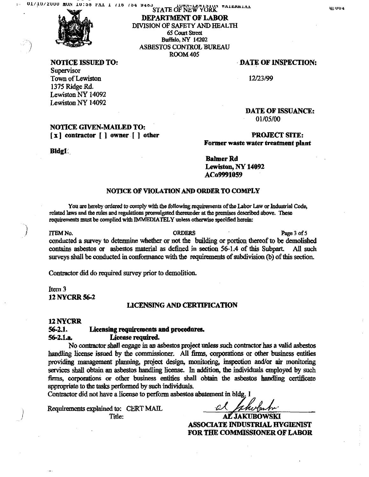

**Supervisor** Town of Lewiston 12/23/99 <sup>1375</sup> Ridge Rd Lewiston NY 14092

Lewiston NY 14092

#### NOTICE GIVEN-MAILED TO: [x] contractor [ ] owner [ ] other PROJECT SITE:

BIdgl

#### DEPARTMENT OF LABOR DIVISION OP SAFETY AND HEALTH 65 Court Street Buffalo, NY 14202 ASBESTOS CONTROL BUREAU ROOM <sup>405</sup>

#### NOTICE ISSUED TO: DATE OF INSPECTION:

DATE OF ISSUANCE:

01/05/00

## Former waste water treatment plant

Bahuer Rd Lewiston, NY 14092 ACo9991059

#### NOTICE OF VIOLATION AID ORDER TO COMPLY

You are hereby ordered to comply with the following requirements of the Labor Law or Industrial Code, related laws and the rules and regulations promulgated thereunder at the premises described above. These requirements must be complied with IMMEDIATELY unless otherwise specified herein:

ITEM No. **In the CONDERS** CRIMINAL CREATION CREATIVE CONDUCTS AND RESIDENCE CONDUCTS OF PAGE 3 of conducted a survey to determine whether or not the building or portion thereof to be demolished contains asbestos or asbestos material as defined in section 56-1.4 of this Subpart All such surveys shall be conducted in conformance with the requirements of subdivision (b) of this section.

Contractor did do required survey prior to demolition.

Item 3 12 NYCER 56-2

#### LICENSING AND CERTIFICATION

#### <sup>12</sup> NYCRR

## 56-2.1 Licensing requirements and procedures

#### 56-2.1.a License required

No contractor shall engage in an asbestos project unless such contractor has a valid asbestos handling license issued by the commissioner. All firms, corporations or other business entities providing management planning, project design, monitoring, inspection and/or air monitoring services shall obtain an asbestos handling license. In addition, the individuals employed by such firms, corporations or other business entities shall obtain the asbestos handling certificate appropriate to the tasks performed by such individuals.

Contractor did not have a license to perform asbestos abatement in bldg. 1

Requirements explained to: CERT MAIL  $\frac{\partial A}{\partial \mathbf{A}} = \frac{\partial A}{\partial \mathbf{A}} = \frac{\partial A}{\partial \mathbf{A}} = \frac{\partial A}{\partial \mathbf{A}}$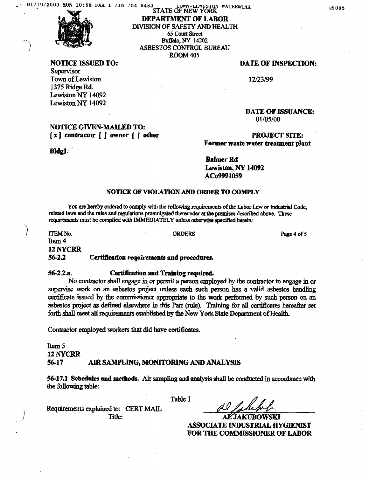

NOTICE ISSUED TO: **DATE OF INSPECTION:** Supervisor Town of Lewiston 12/23/99 1375 Ridge Rd

Lewiston NY 14092 Lewiston NY 14092

### NOTICE GIVEN-MAILED TO  $[x]$  contractor  $[$   $]$  owner  $[$   $]$  other  $[$   $]$   $]$  other  $[$   $]$   $]$   $[$   $]$   $[$   $]$   $[$   $]$  $[$   $]$  $[$  $]$  $[$  $]$  $[$  $]$  $[$  $]$  $[$  $]$  $[$  $]$  $[$  $]$  $[$  $]$  $[$  $]$  $[$  $]$  $[$  $]$  $[$  $]$  $[$  $]$  $[$  $]$  $[$  $]$  $[$  $]$  $[$  $]$  $[$  $]$  $[$  $]$  $[$

Bldg1

DEPARTMENT OF LABOR DIVISION OF SAFETY AND hEALTH <sup>65</sup> Court Sireet Buffalo, NY 14202 ASBESTOS CONTROL BUREAU ROOM445

DATE OF ISSUANCE 01/05/00

Former waste water treatment plant

**Balmer Rd** Lewiston, NY 14092 ACo9991O59

#### NOTICE OF VIOLATION AND ORDER TO COMPLY

You are hereby ordered to comply with the following requirements of the Labor Law or Industrial Code related laws and the rules and regulations promulgated thereunder at the premises described above These requirements must be complied with IMMEDIATELY unless otherwise specified herein

ITEM No. 2012 2013 2014 12:30 ORDERS Page 4 of Item 4 <sup>12</sup> NYCRR 56-2.2 Certification requirements and procedures

#### 56-2.2.a Certification and Training required

No contractor shall engage in or permit a person employed by the contractor to engage in or supervise work on an asbestos project unless each such person has a valid asbestos handling certificate issued by the commissioner appropriate to the work performed by such person on an asbestos project as defined elsewhere in this Part (rule). Training for all certificates hereafter set

forth shall meet all requirements established by the New York State Department of Health

Contractor employed workers that did have certificates

Item<sub>5</sub> 12 NYCRR 56-17 AIR SAMPLiNG MONITORING AND ANALYSIS

56-17.1 Schedules and methods Air sampling and analysis shall be conducted in accordance with the following table:

Table

Requirements explained to: CERT MAIL Title: ALAKUBOWSKI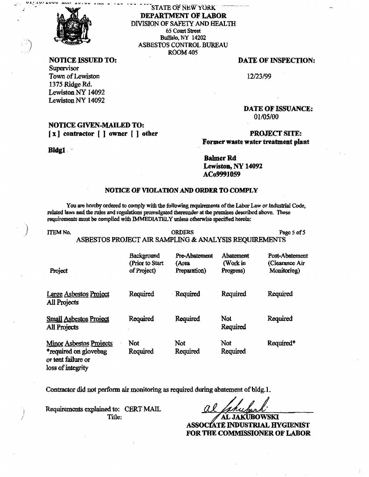

til den tiden tiden fra 1977

DEPARTMENT OF LABOR DIVISION OF SAFETY AND HEALTH STATE OF NEW YORK 65 Court Street Buffalo, NY 14202 ASBESTOS CONTROL BUREAU ROOM 405

Supervisor Town of Lewiston 12/23/99 1375 Ridge Rd Lewiston NY 14092 Lewiston NY l4092

### NOTICE GIVEN-MAILED TO  $[x]$  contractor  $[$   $]$  owner  $[$   $]$  other  $[$   $]$   $]$  other  $[$   $]$   $]$   $]$   $[$   $]$   $]$   $[$   $]$   $[$   $]$   $[$   $]$   $[$   $]$   $[$   $]$   $[$   $]$   $[$   $]$   $[$   $]$   $[$   $]$   $[$   $]$   $[$   $]$   $[$   $]$   $[$   $]$   $[$   $]$   $[$   $]$   $[$   $]$   $[$

#### Bidgi

#### NOTICE ISSUED TO: DATE OF INSPECTION:

DATE OF ISSUANCE 01/05/00

## Former waste water treatment plant

**Balmer Rd** Lewiston, NY 14092 ACo9991059

#### NOTICE OF VIOLATION AND ORDER TO COMPLY

You are hereby ordered to comply with the following requirements of the Labor Law or Industrial Code related laws and the rules and regulations promulgated thereunder at the premises describcd above These requirements must be complied with IMMEDIATELY unless otherwise specified herein:

loss of integrity

ITEM No. 2008 Page 5 of ASBESTOS PROJECT AIR SAMPLING & ANALYSIS REQUIREMENTS

| Project                                                                       | Background<br>(Prior to Start<br>of Project) | <b>Pre-Abatement</b><br>(Агеа<br>Preparation) | Abatement<br>(Work in<br>Progress) | Post-Abatement<br>(Clearance Air<br>Monitoring) |
|-------------------------------------------------------------------------------|----------------------------------------------|-----------------------------------------------|------------------------------------|-------------------------------------------------|
| Large Asbestos Project<br><b>All Projects</b>                                 | Required                                     | Required                                      | Required                           | Required                                        |
| <b>Small Asbestos Project</b><br>All Projects                                 | Required                                     | Required                                      | Not<br>Required                    | Required                                        |
| <b>Minor Asbestos Projects</b><br>*required on glovebag<br>or tent failure or | Not<br>Required                              | Not<br>Required                               | Not<br>Required                    | Required <sup>*</sup>                           |

Contractor did not perform air monitoring as required during abatement of bldg.

Requirements explained to: CERT MAIL  $\overbrace{\text{AL JAKUBOWSKI}}$